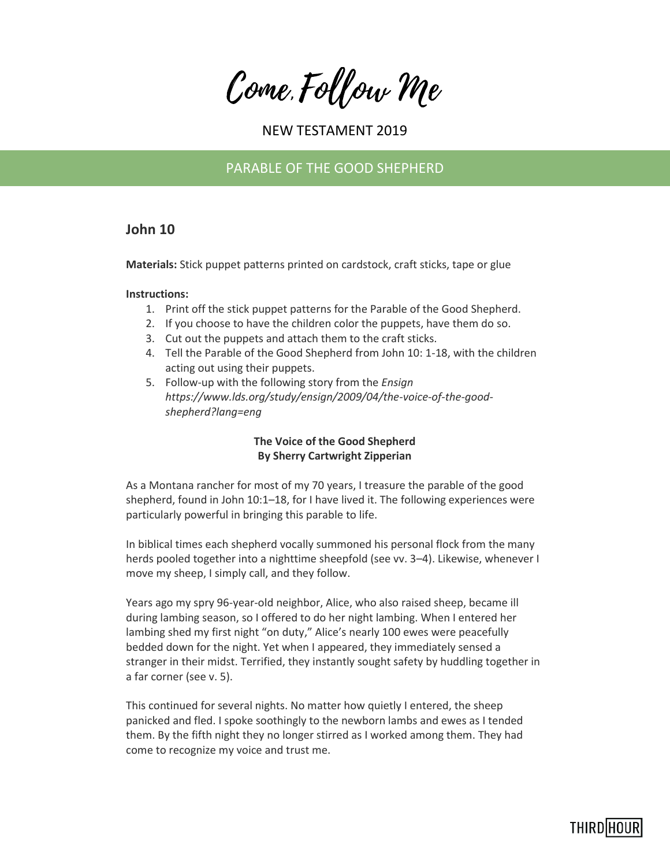Come. Follow Me

NEW TESTAMENT 2019

PARABLE OF THE GOOD SHEPHERD

## **John 10**

**Materials:** Stick puppet patterns printed on cardstock, craft sticks, tape or glue

## **Instructions:**

- 1. Print off the stick puppet patterns for the Parable of the Good Shepherd.
- 2. If you choose to have the children color the puppets, have them do so.
- 3. Cut out the puppets and attach them to the craft sticks.
- 4. Tell the Parable of the Good Shepherd from John 10: 1-18, with the children acting out using their puppets.
- 5. Follow-up with the following story from the *Ensign https://www.lds.org/study/ensign/2009/04/the-voice-of-the-goodshepherd?lang=eng*

## **The Voice of the Good Shepherd By Sherry Cartwright Zipperian**

As a Montana rancher for most of my 70 years, I treasure the parable of the good shepherd, found in John 10:1–18, for I have lived it. The following experiences were particularly powerful in bringing this parable to life.

In biblical times each shepherd vocally summoned his personal flock from the many herds pooled together into a nighttime sheepfold (see vv. 3–4). Likewise, whenever I move my sheep, I simply call, and they follow.

Years ago my spry 96-year-old neighbor, Alice, who also raised sheep, became ill during lambing season, so I offered to do her night lambing. When I entered her lambing shed my first night "on duty," Alice's nearly 100 ewes were peacefully bedded down for the night. Yet when I appeared, they immediately sensed a stranger in their midst. Terrified, they instantly sought safety by huddling together in a far corner (see v. 5).

This continued for several nights. No matter how quietly I entered, the sheep panicked and fled. I spoke soothingly to the newborn lambs and ewes as I tended them. By the fifth night they no longer stirred as I worked among them. They had come to recognize my voice and trust me.

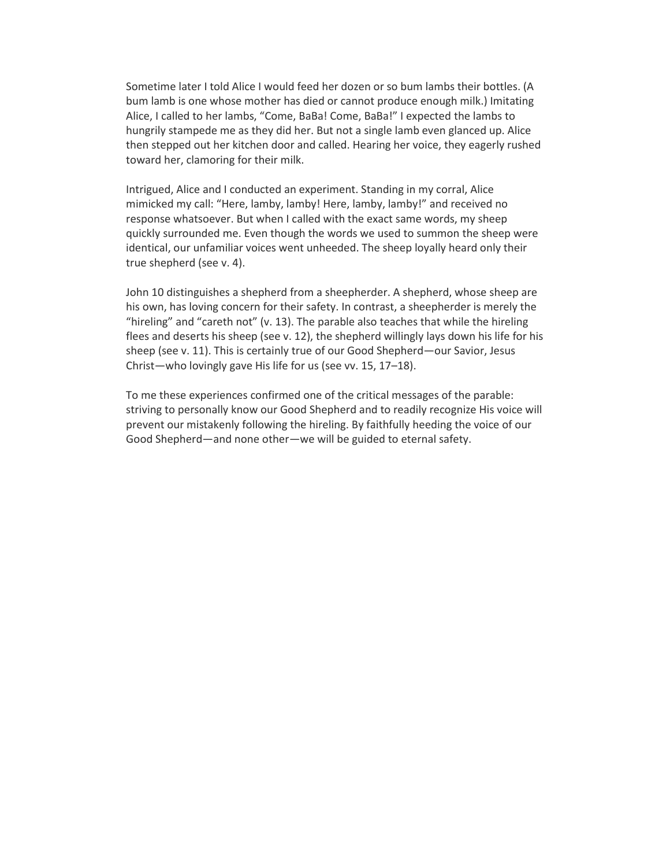Sometime later I told Alice I would feed her dozen or so bum lambs their bottles. (A bum lamb is one whose mother has died or cannot produce enough milk.) Imitating Alice, I called to her lambs, "Come, BaBa! Come, BaBa!" I expected the lambs to hungrily stampede me as they did her. But not a single lamb even glanced up. Alice then stepped out her kitchen door and called. Hearing her voice, they eagerly rushed toward her, clamoring for their milk.

Intrigued, Alice and I conducted an experiment. Standing in my corral, Alice mimicked my call: "Here, lamby, lamby! Here, lamby, lamby!" and received no response whatsoever. But when I called with the exact same words, my sheep quickly surrounded me. Even though the words we used to summon the sheep were identical, our unfamiliar voices went unheeded. The sheep loyally heard only their true shepherd (see v. 4).

John 10 distinguishes a shepherd from a sheepherder. A shepherd, whose sheep are his own, has loving concern for their safety. In contrast, a sheepherder is merely the "hireling" and "careth not" (v. 13). The parable also teaches that while the hireling flees and deserts his sheep (see v. 12), the shepherd willingly lays down his life for his sheep (see v. 11). This is certainly true of our Good Shepherd—our Savior, Jesus Christ—who lovingly gave His life for us (see vv. 15, 17–18).

To me these experiences confirmed one of the critical messages of the parable: striving to personally know our Good Shepherd and to readily recognize His voice will prevent our mistakenly following the hireling. By faithfully heeding the voice of our Good Shepherd—and none other—we will be guided to eternal safety.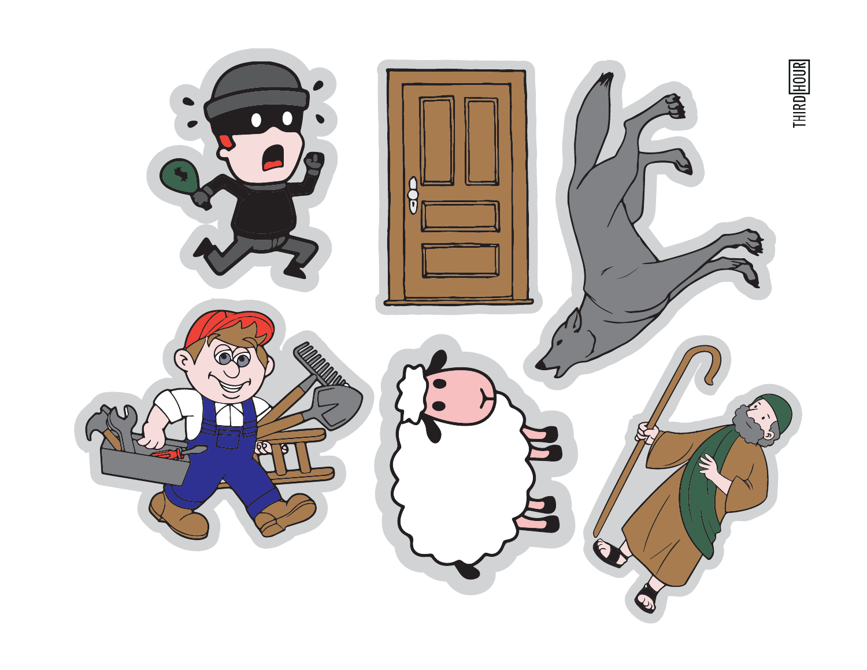